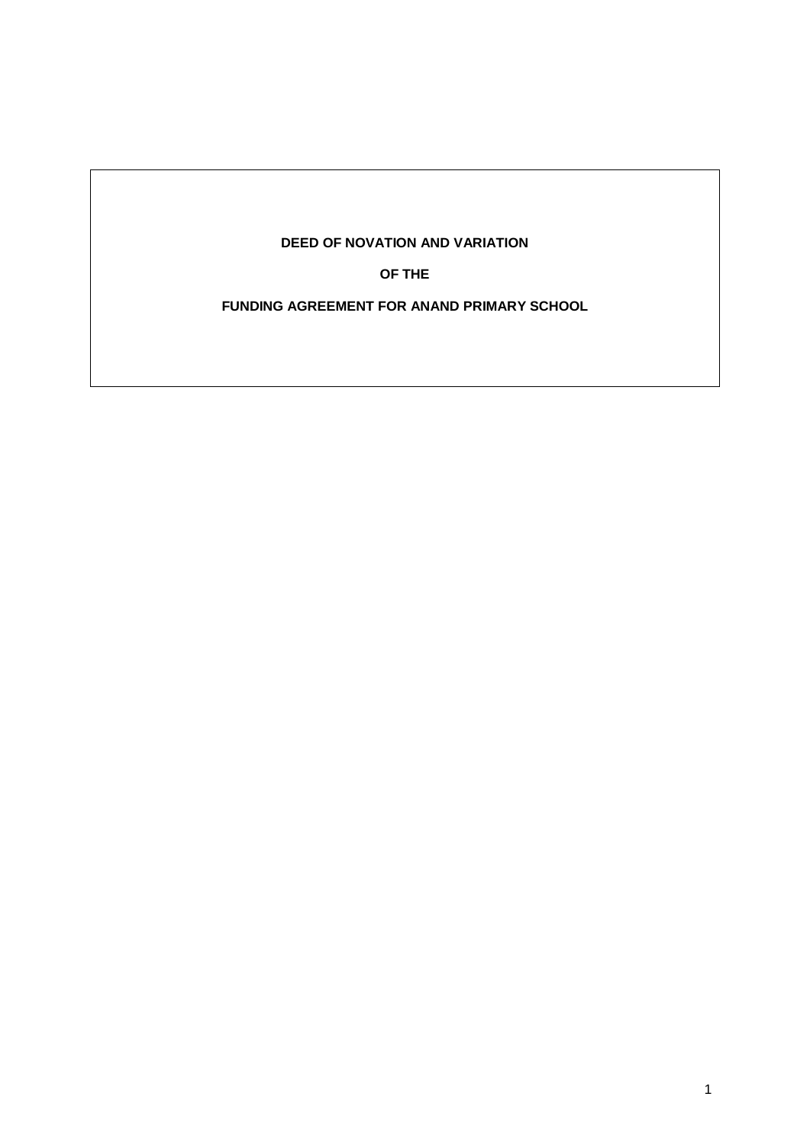# **DEED OF NOVATION AND VARIATION**

**OF THE**

**FUNDING AGREEMENT FOR ANAND PRIMARY SCHOOL**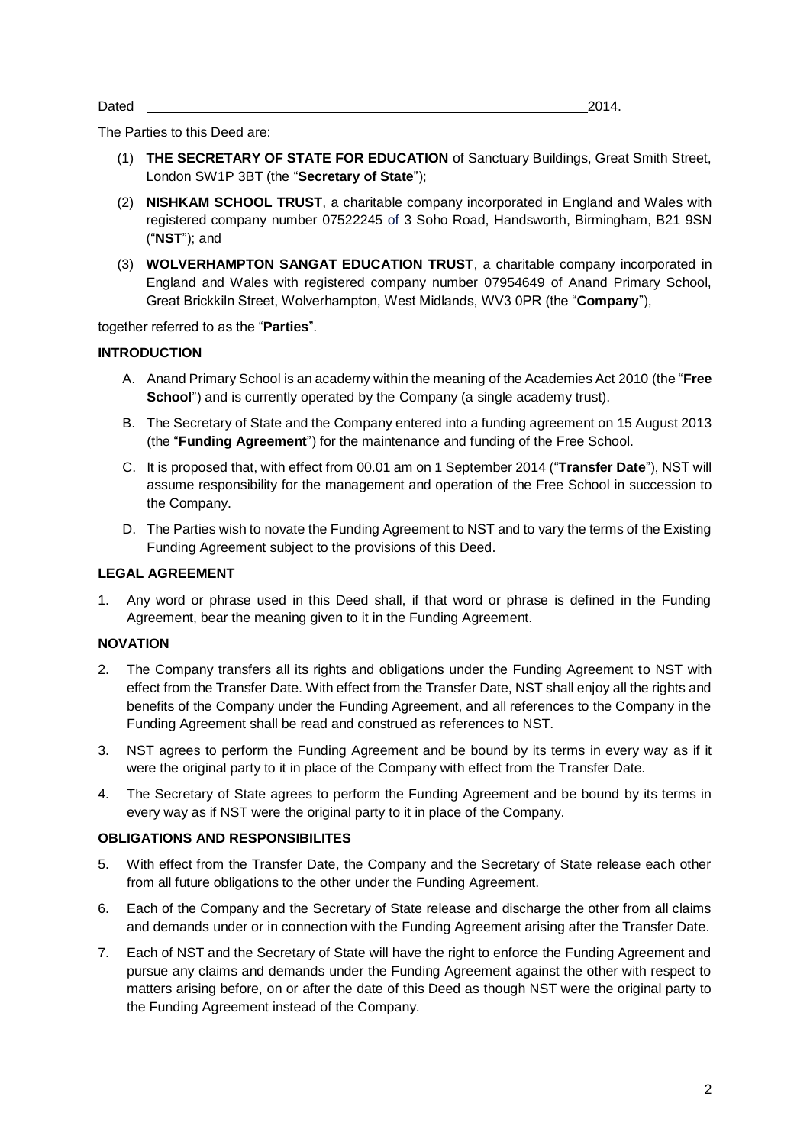Dated 2014.

The Parties to this Deed are:

- (1) **THE SECRETARY OF STATE FOR EDUCATION** of Sanctuary Buildings, Great Smith Street, London SW1P 3BT (the "**Secretary of State**");
- (2) **NISHKAM SCHOOL TRUST**, a charitable company incorporated in England and Wales with registered company number 07522245 of 3 Soho Road, Handsworth, Birmingham, B21 9SN ("**NST**"); and
- (3) **WOLVERHAMPTON SANGAT EDUCATION TRUST**, a charitable company incorporated in England and Wales with registered company number 07954649 of Anand Primary School, Great Brickkiln Street, Wolverhampton, West Midlands, WV3 0PR (the "**Company**"),

together referred to as the "**Parties**".

#### **INTRODUCTION**

- A. Anand Primary School is an academy within the meaning of the Academies Act 2010 (the "**Free School**") and is currently operated by the Company (a single academy trust).
- B. The Secretary of State and the Company entered into a funding agreement on 15 August 2013 (the "**Funding Agreement**") for the maintenance and funding of the Free School.
- C. It is proposed that, with effect from 00.01 am on 1 September 2014 ("**Transfer Date**"), NST will assume responsibility for the management and operation of the Free School in succession to the Company.
- D. The Parties wish to novate the Funding Agreement to NST and to vary the terms of the Existing Funding Agreement subject to the provisions of this Deed.

#### **LEGAL AGREEMENT**

1. Any word or phrase used in this Deed shall, if that word or phrase is defined in the Funding Agreement, bear the meaning given to it in the Funding Agreement.

## **NOVATION**

- 2. The Company transfers all its rights and obligations under the Funding Agreement to NST with effect from the Transfer Date. With effect from the Transfer Date, NST shall enjoy all the rights and benefits of the Company under the Funding Agreement, and all references to the Company in the Funding Agreement shall be read and construed as references to NST.
- 3. NST agrees to perform the Funding Agreement and be bound by its terms in every way as if it were the original party to it in place of the Company with effect from the Transfer Date.
- 4. The Secretary of State agrees to perform the Funding Agreement and be bound by its terms in every way as if NST were the original party to it in place of the Company.

#### **OBLIGATIONS AND RESPONSIBILITES**

- 5. With effect from the Transfer Date, the Company and the Secretary of State release each other from all future obligations to the other under the Funding Agreement.
- 6. Each of the Company and the Secretary of State release and discharge the other from all claims and demands under or in connection with the Funding Agreement arising after the Transfer Date.
- 7. Each of NST and the Secretary of State will have the right to enforce the Funding Agreement and pursue any claims and demands under the Funding Agreement against the other with respect to matters arising before, on or after the date of this Deed as though NST were the original party to the Funding Agreement instead of the Company.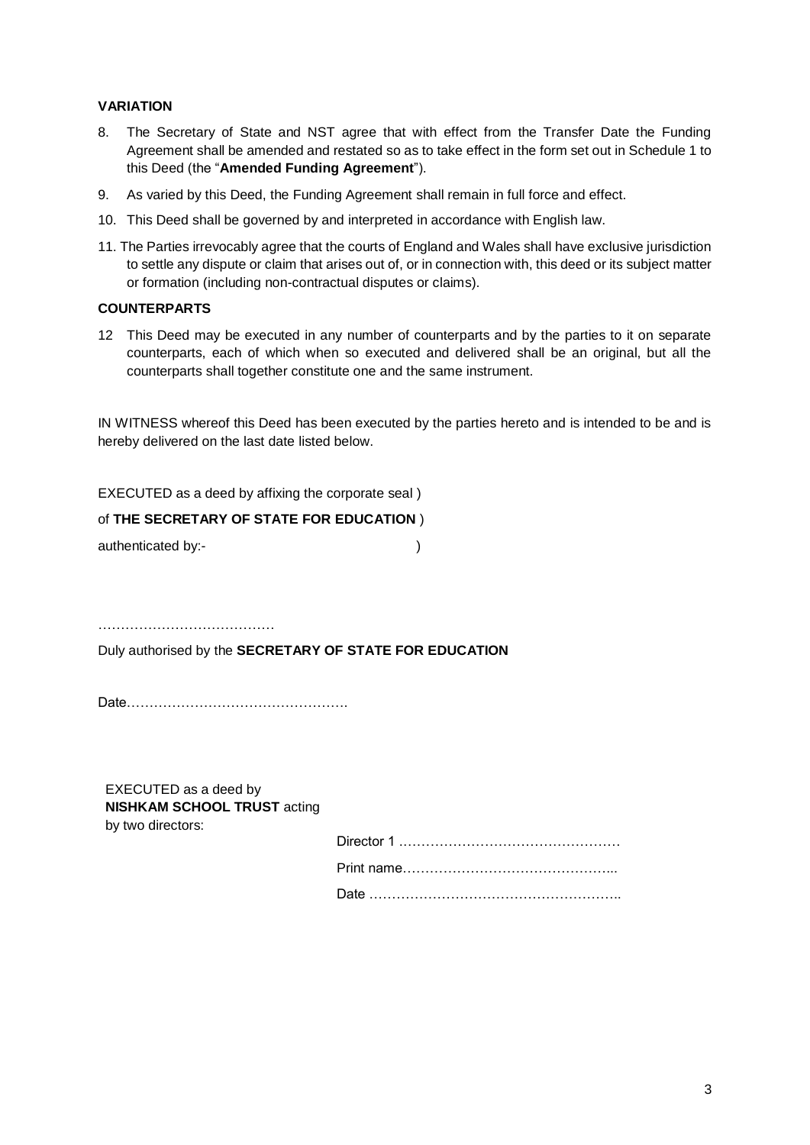## **VARIATION**

- 8. The Secretary of State and NST agree that with effect from the Transfer Date the Funding Agreement shall be amended and restated so as to take effect in the form set out in Schedule 1 to this Deed (the "**Amended Funding Agreement**").
- 9. As varied by this Deed, the Funding Agreement shall remain in full force and effect.
- 10. This Deed shall be governed by and interpreted in accordance with English law.
- 11. The Parties irrevocably agree that the courts of England and Wales shall have exclusive jurisdiction to settle any dispute or claim that arises out of, or in connection with, this deed or its subject matter or formation (including non-contractual disputes or claims).

#### **COUNTERPARTS**

12 This Deed may be executed in any number of counterparts and by the parties to it on separate counterparts, each of which when so executed and delivered shall be an original, but all the counterparts shall together constitute one and the same instrument.

IN WITNESS whereof this Deed has been executed by the parties hereto and is intended to be and is hereby delivered on the last date listed below.

EXECUTED as a deed by affixing the corporate seal )

#### of **THE SECRETARY OF STATE FOR EDUCATION** )

authenticated by:- (a)

…………………………………

Duly authorised by the **SECRETARY OF STATE FOR EDUCATION**

Date………………………………………….

EXECUTED as a deed by **NISHKAM SCHOOL TRUST** acting by two directors: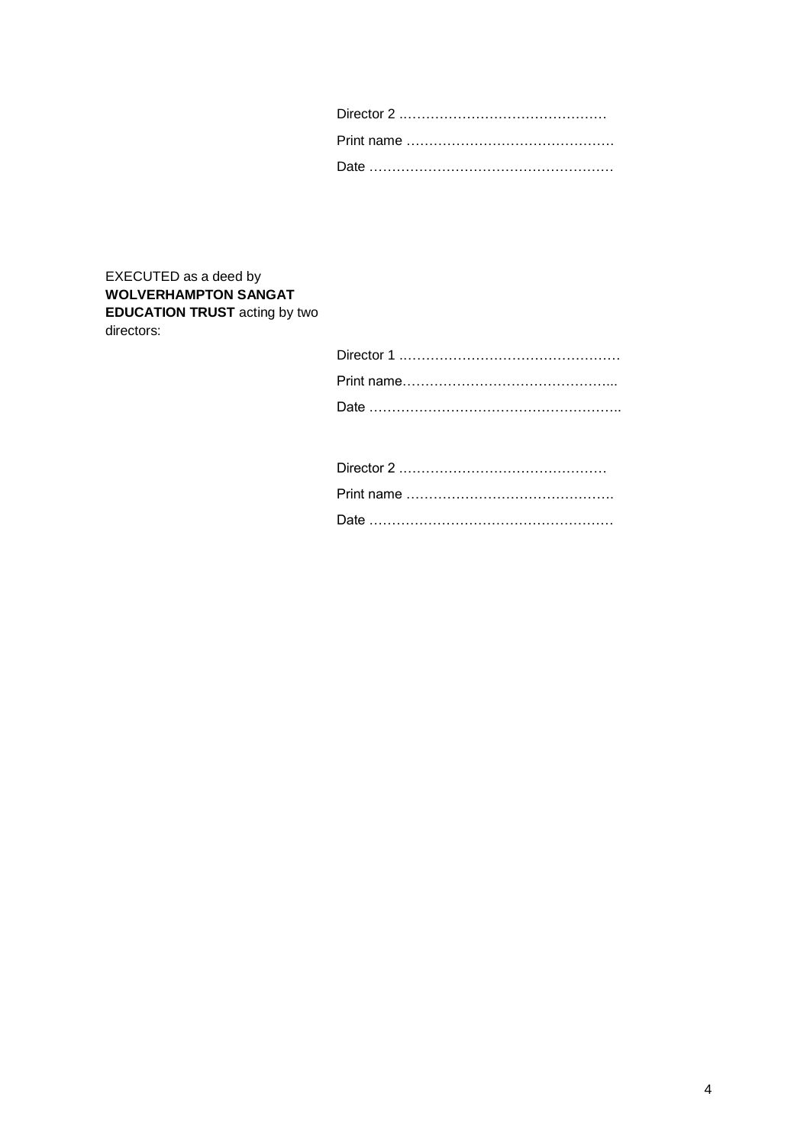# EXECUTED as a deed by **WOLVERHAMPTON SANGAT EDUCATION TRUST** acting by two directors: